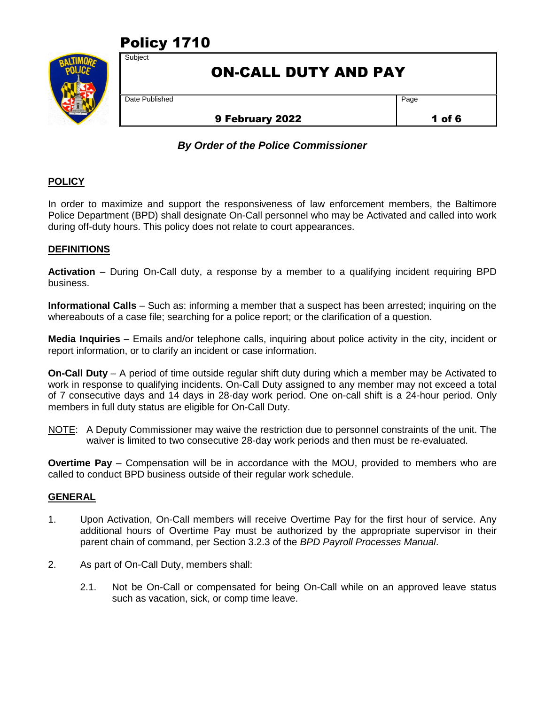# Policy 1710



## ON-CALL DUTY AND PAY

Date Published

**Subject** 

## 9 February 2022

Page

1 of 6

## *By Order of the Police Commissioner*

## **POLICY**

In order to maximize and support the responsiveness of law enforcement members, the Baltimore Police Department (BPD) shall designate On-Call personnel who may be Activated and called into work during off-duty hours. This policy does not relate to court appearances.

### **DEFINITIONS**

**Activation** – During On-Call duty, a response by a member to a qualifying incident requiring BPD business.

**Informational Calls** – Such as: informing a member that a suspect has been arrested; inquiring on the whereabouts of a case file; searching for a police report; or the clarification of a question.

**Media Inquiries** – Emails and/or telephone calls, inquiring about police activity in the city, incident or report information, or to clarify an incident or case information.

**On-Call Duty** – A period of time outside regular shift duty during which a member may be Activated to work in response to qualifying incidents. On-Call Duty assigned to any member may not exceed a total of 7 consecutive days and 14 days in 28-day work period. One on-call shift is a 24-hour period. Only members in full duty status are eligible for On-Call Duty.

NOTE: A Deputy Commissioner may waive the restriction due to personnel constraints of the unit. The waiver is limited to two consecutive 28-day work periods and then must be re-evaluated.

**Overtime Pay** – Compensation will be in accordance with the MOU, provided to members who are called to conduct BPD business outside of their regular work schedule.

#### **GENERAL**

- 1. Upon Activation, On-Call members will receive Overtime Pay for the first hour of service. Any additional hours of Overtime Pay must be authorized by the appropriate supervisor in their parent chain of command, per Section 3.2.3 of the *BPD Payroll Processes Manual*.
- 2. As part of On-Call Duty, members shall:
	- 2.1. Not be On-Call or compensated for being On-Call while on an approved leave status such as vacation, sick, or comp time leave.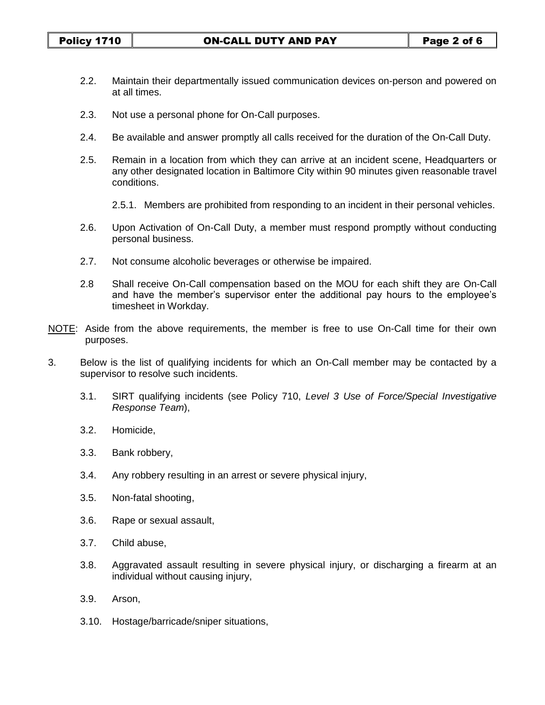- 2.2. Maintain their departmentally issued communication devices on-person and powered on at all times.
- 2.3. Not use a personal phone for On-Call purposes.
- 2.4. Be available and answer promptly all calls received for the duration of the On-Call Duty.
- 2.5. Remain in a location from which they can arrive at an incident scene, Headquarters or any other designated location in Baltimore City within 90 minutes given reasonable travel conditions.
	- 2.5.1. Members are prohibited from responding to an incident in their personal vehicles.
- 2.6. Upon Activation of On-Call Duty, a member must respond promptly without conducting personal business.
- 2.7. Not consume alcoholic beverages or otherwise be impaired.
- 2.8 Shall receive On-Call compensation based on the MOU for each shift they are On-Call and have the member's supervisor enter the additional pay hours to the employee's timesheet in Workday.
- NOTE: Aside from the above requirements, the member is free to use On-Call time for their own purposes.
- 3. Below is the list of qualifying incidents for which an On-Call member may be contacted by a supervisor to resolve such incidents.
	- 3.1. SIRT qualifying incidents (see Policy 710, *Level 3 Use of Force/Special Investigative Response Team*),
	- 3.2. Homicide,
	- 3.3. Bank robbery,
	- 3.4. Any robbery resulting in an arrest or severe physical injury,
	- 3.5. Non-fatal shooting,
	- 3.6. Rape or sexual assault,
	- 3.7. Child abuse,
	- 3.8. Aggravated assault resulting in severe physical injury, or discharging a firearm at an individual without causing injury,
	- 3.9. Arson,
	- 3.10. Hostage/barricade/sniper situations,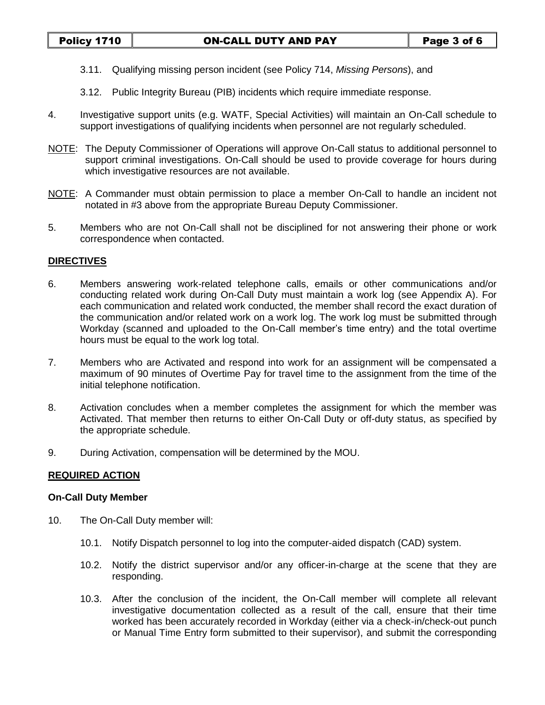- 3.11. Qualifying missing person incident (see Policy 714, *Missing Persons*), and
- 3.12. Public Integrity Bureau (PIB) incidents which require immediate response.
- 4. Investigative support units (e.g. WATF, Special Activities) will maintain an On-Call schedule to support investigations of qualifying incidents when personnel are not regularly scheduled.
- NOTE: The Deputy Commissioner of Operations will approve On-Call status to additional personnel to support criminal investigations. On-Call should be used to provide coverage for hours during which investigative resources are not available.
- NOTE: A Commander must obtain permission to place a member On-Call to handle an incident not notated in #3 above from the appropriate Bureau Deputy Commissioner.
- 5. Members who are not On-Call shall not be disciplined for not answering their phone or work correspondence when contacted.

#### **DIRECTIVES**

- 6. Members answering work-related telephone calls, emails or other communications and/or conducting related work during On-Call Duty must maintain a work log (see Appendix A). For each communication and related work conducted, the member shall record the exact duration of the communication and/or related work on a work log. The work log must be submitted through Workday (scanned and uploaded to the On-Call member's time entry) and the total overtime hours must be equal to the work log total.
- 7. Members who are Activated and respond into work for an assignment will be compensated a maximum of 90 minutes of Overtime Pay for travel time to the assignment from the time of the initial telephone notification.
- 8. Activation concludes when a member completes the assignment for which the member was Activated. That member then returns to either On-Call Duty or off-duty status, as specified by the appropriate schedule.
- 9. During Activation, compensation will be determined by the MOU.

#### **REQUIRED ACTION**

#### **On-Call Duty Member**

- 10. The On-Call Duty member will:
	- 10.1. Notify Dispatch personnel to log into the computer-aided dispatch (CAD) system.
	- 10.2. Notify the district supervisor and/or any officer-in-charge at the scene that they are responding.
	- 10.3. After the conclusion of the incident, the On-Call member will complete all relevant investigative documentation collected as a result of the call, ensure that their time worked has been accurately recorded in Workday (either via a check-in/check-out punch or Manual Time Entry form submitted to their supervisor), and submit the corresponding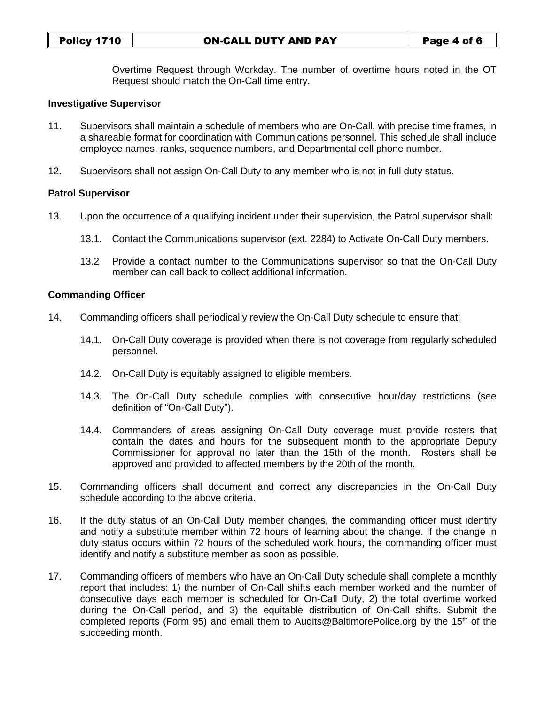Overtime Request through Workday. The number of overtime hours noted in the OT Request should match the On-Call time entry.

#### **Investigative Supervisor**

- 11. Supervisors shall maintain a schedule of members who are On-Call, with precise time frames, in a shareable format for coordination with Communications personnel. This schedule shall include employee names, ranks, sequence numbers, and Departmental cell phone number.
- 12. Supervisors shall not assign On-Call Duty to any member who is not in full duty status.

#### **Patrol Supervisor**

- 13. Upon the occurrence of a qualifying incident under their supervision, the Patrol supervisor shall:
	- 13.1. Contact the Communications supervisor (ext. 2284) to Activate On-Call Duty members.
	- 13.2 Provide a contact number to the Communications supervisor so that the On-Call Duty member can call back to collect additional information.

#### **Commanding Officer**

- 14. Commanding officers shall periodically review the On-Call Duty schedule to ensure that:
	- 14.1. On-Call Duty coverage is provided when there is not coverage from regularly scheduled personnel.
	- 14.2. On-Call Duty is equitably assigned to eligible members.
	- 14.3. The On-Call Duty schedule complies with consecutive hour/day restrictions (see definition of "On-Call Duty").
	- 14.4. Commanders of areas assigning On-Call Duty coverage must provide rosters that contain the dates and hours for the subsequent month to the appropriate Deputy Commissioner for approval no later than the 15th of the month. Rosters shall be approved and provided to affected members by the 20th of the month.
- 15. Commanding officers shall document and correct any discrepancies in the On-Call Duty schedule according to the above criteria.
- 16. If the duty status of an On-Call Duty member changes, the commanding officer must identify and notify a substitute member within 72 hours of learning about the change. If the change in duty status occurs within 72 hours of the scheduled work hours, the commanding officer must identify and notify a substitute member as soon as possible.
- 17. Commanding officers of members who have an On-Call Duty schedule shall complete a monthly report that includes: 1) the number of On-Call shifts each member worked and the number of consecutive days each member is scheduled for On-Call Duty, 2) the total overtime worked during the On-Call period, and 3) the equitable distribution of On-Call shifts. Submit the completed reports (Form 95) and email them to Audits@BaltimorePolice.org by the 15<sup>th</sup> of the succeeding month.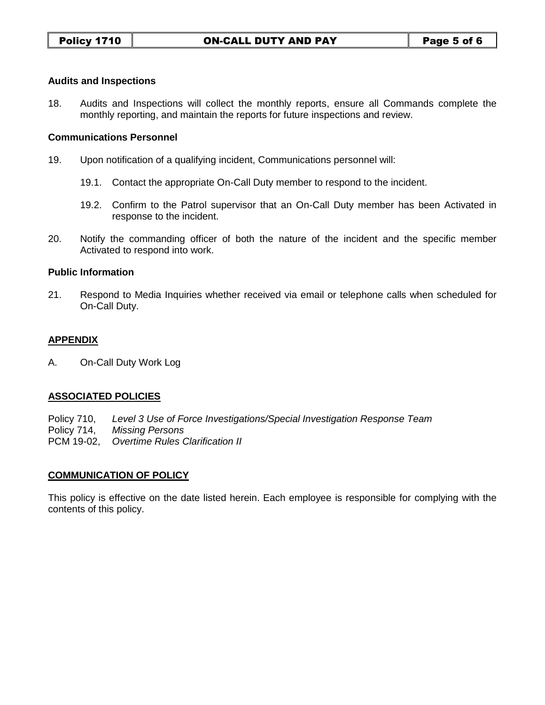#### **Audits and Inspections**

18. Audits and Inspections will collect the monthly reports, ensure all Commands complete the monthly reporting, and maintain the reports for future inspections and review.

#### **Communications Personnel**

- 19. Upon notification of a qualifying incident, Communications personnel will:
	- 19.1. Contact the appropriate On-Call Duty member to respond to the incident.
	- 19.2. Confirm to the Patrol supervisor that an On-Call Duty member has been Activated in response to the incident.
- 20. Notify the commanding officer of both the nature of the incident and the specific member Activated to respond into work.

#### **Public Information**

21. Respond to Media Inquiries whether received via email or telephone calls when scheduled for On-Call Duty.

#### **APPENDIX**

A. On-Call Duty Work Log

#### **ASSOCIATED POLICIES**

Policy 710, *Level 3 Use of Force Investigations/Special Investigation Response Team*  Policy 714, *Missing Persons* PCM 19-02, *Overtime Rules Clarification II*

#### **COMMUNICATION OF POLICY**

This policy is effective on the date listed herein. Each employee is responsible for complying with the contents of this policy.